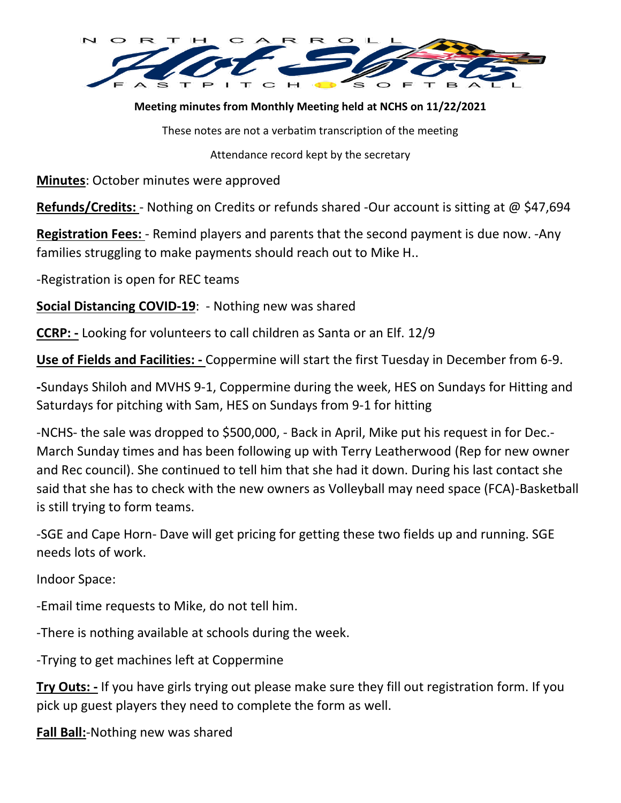

**Meeting minutes from Monthly Meeting held at NCHS on 11/22/2021**

These notes are not a verbatim transcription of the meeting

Attendance record kept by the secretary

**Minutes**: October minutes were approved

**Refunds/Credits:** - Nothing on Credits or refunds shared -Our account is sitting at @ \$47,694

**Registration Fees:** - Remind players and parents that the second payment is due now. -Any families struggling to make payments should reach out to Mike H..

-Registration is open for REC teams

**Social Distancing COVID-19**: - Nothing new was shared

**CCRP: -** Looking for volunteers to call children as Santa or an Elf. 12/9

**Use of Fields and Facilities: -** Coppermine will start the first Tuesday in December from 6-9.

**-**Sundays Shiloh and MVHS 9-1, Coppermine during the week, HES on Sundays for Hitting and Saturdays for pitching with Sam, HES on Sundays from 9-1 for hitting

-NCHS- the sale was dropped to \$500,000, - Back in April, Mike put his request in for Dec.- March Sunday times and has been following up with Terry Leatherwood (Rep for new owner and Rec council). She continued to tell him that she had it down. During his last contact she said that she has to check with the new owners as Volleyball may need space (FCA)-Basketball is still trying to form teams.

-SGE and Cape Horn- Dave will get pricing for getting these two fields up and running. SGE needs lots of work.

Indoor Space:

-Email time requests to Mike, do not tell him.

-There is nothing available at schools during the week.

-Trying to get machines left at Coppermine

**Try Outs: -** If you have girls trying out please make sure they fill out registration form. If you pick up guest players they need to complete the form as well.

**Fall Ball:**-Nothing new was shared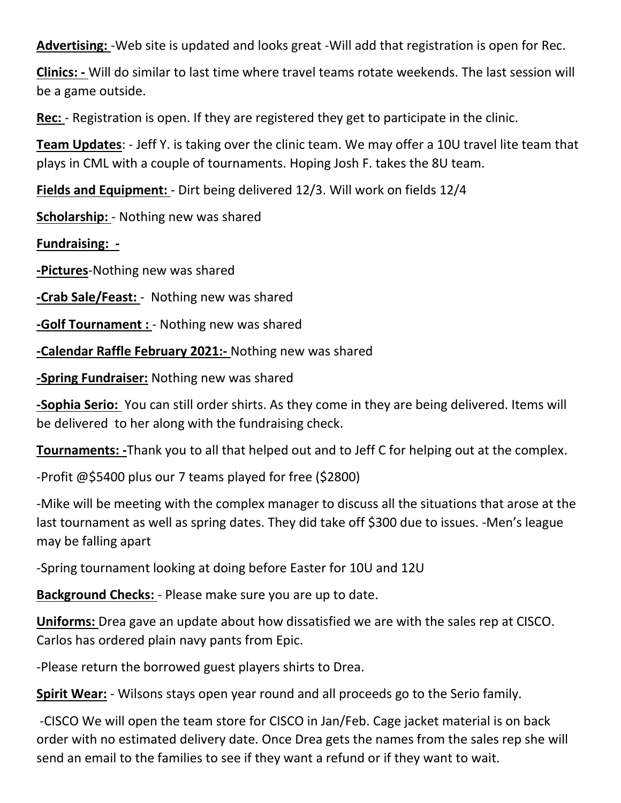**Advertising:** -Web site is updated and looks great -Will add that registration is open for Rec.

**Clinics: -** Will do similar to last time where travel teams rotate weekends. The last session will be a game outside.

**Rec:** - Registration is open. If they are registered they get to participate in the clinic.

**Team Updates**: - Jeff Y. is taking over the clinic team. We may offer a 10U travel lite team that plays in CML with a couple of tournaments. Hoping Josh F. takes the 8U team.

**Fields and Equipment:** - Dirt being delivered 12/3. Will work on fields 12/4

**Scholarship:** - Nothing new was shared

**Fundraising: -**

**-Pictures**-Nothing new was shared

**-Crab Sale/Feast:** - Nothing new was shared

**-Golf Tournament :** - Nothing new was shared

**-Calendar Raffle February 2021:-** Nothing new was shared

**-Spring Fundraiser:** Nothing new was shared

**-Sophia Serio:** You can still order shirts. As they come in they are being delivered. Items will be delivered to her along with the fundraising check.

**Tournaments: -**Thank you to all that helped out and to Jeff C for helping out at the complex.

-Profit @\$5400 plus our 7 teams played for free (\$2800)

-Mike will be meeting with the complex manager to discuss all the situations that arose at the last tournament as well as spring dates. They did take off \$300 due to issues. -Men's league may be falling apart

-Spring tournament looking at doing before Easter for 10U and 12U

**Background Checks:** - Please make sure you are up to date.

**Uniforms:** Drea gave an update about how dissatisfied we are with the sales rep at CISCO. Carlos has ordered plain navy pants from Epic.

-Please return the borrowed guest players shirts to Drea.

**Spirit Wear:** - Wilsons stays open year round and all proceeds go to the Serio family.

-CISCO We will open the team store for CISCO in Jan/Feb. Cage jacket material is on back order with no estimated delivery date. Once Drea gets the names from the sales rep she will send an email to the families to see if they want a refund or if they want to wait.